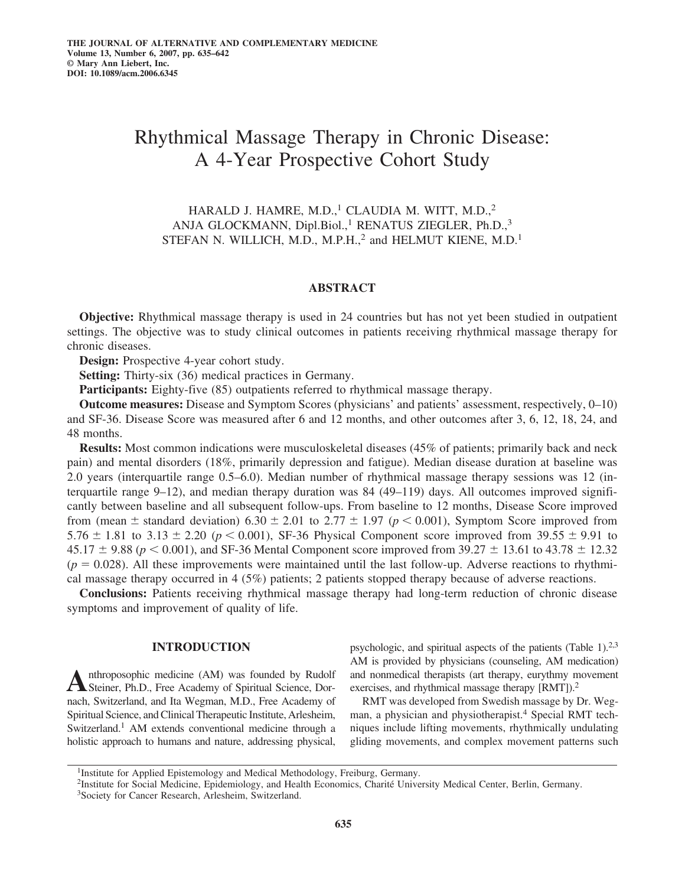# Rhythmical Massage Therapy in Chronic Disease: A 4-Year Prospective Cohort Study

HARALD J. HAMRE, M.D., $1$  CLAUDIA M. WITT, M.D., $2$ ANJA GLOCKMANN, Dipl.Biol.,<sup>1</sup> RENATUS ZIEGLER, Ph.D.,<sup>3</sup> STEFAN N. WILLICH, M.D., M.P.H.,<sup>2</sup> and HELMUT KIENE, M.D.<sup>1</sup>

## **ABSTRACT**

**Objective:** Rhythmical massage therapy is used in 24 countries but has not yet been studied in outpatient settings. The objective was to study clinical outcomes in patients receiving rhythmical massage therapy for chronic diseases.

**Design:** Prospective 4-year cohort study.

**Setting:** Thirty-six (36) medical practices in Germany.

**Participants:** Eighty-five (85) outpatients referred to rhythmical massage therapy.

**Outcome measures:** Disease and Symptom Scores (physicians' and patients' assessment, respectively, 0–10) and SF-36. Disease Score was measured after 6 and 12 months, and other outcomes after 3, 6, 12, 18, 24, and 48 months.

**Results:** Most common indications were musculoskeletal diseases (45% of patients; primarily back and neck pain) and mental disorders (18%, primarily depression and fatigue). Median disease duration at baseline was 2.0 years (interquartile range 0.5–6.0). Median number of rhythmical massage therapy sessions was 12 (interquartile range 9–12), and median therapy duration was 84 (49–119) days. All outcomes improved significantly between baseline and all subsequent follow-ups. From baseline to 12 months, Disease Score improved from (mean  $\pm$  standard deviation) 6.30  $\pm$  2.01 to 2.77  $\pm$  1.97 ( $p$  < 0.001), Symptom Score improved from 5.76  $\pm$  1.81 to 3.13  $\pm$  2.20 ( $p$  < 0.001), SF-36 Physical Component score improved from 39.55  $\pm$  9.91 to  $45.17 \pm 9.88$  ( $p < 0.001$ ), and SF-36 Mental Component score improved from 39.27  $\pm$  13.61 to 43.78  $\pm$  12.32  $(p = 0.028)$ . All these improvements were maintained until the last follow-up. Adverse reactions to rhythmical massage therapy occurred in 4 (5%) patients; 2 patients stopped therapy because of adverse reactions.

**Conclusions:** Patients receiving rhythmical massage therapy had long-term reduction of chronic disease symptoms and improvement of quality of life.

## **INTRODUCTION**

Anthroposophic medicine (AM) was founded by Rudolf<br>
Steiner, Ph.D., Free Academy of Spiritual Science, Dornach, Switzerland, and Ita Wegman, M.D., Free Academy of Spiritual Science, and Clinical Therapeutic Institute, Arlesheim, Switzerland.<sup>1</sup> AM extends conventional medicine through a holistic approach to humans and nature, addressing physical, psychologic, and spiritual aspects of the patients (Table 1).2,3 AM is provided by physicians (counseling, AM medication) and nonmedical therapists (art therapy, eurythmy movement exercises, and rhythmical massage therapy [RMT]).<sup>2</sup>

RMT was developed from Swedish massage by Dr. Wegman, a physician and physiotherapist.<sup>4</sup> Special RMT techniques include lifting movements, rhythmically undulating gliding movements, and complex movement patterns such

<sup>&</sup>lt;sup>1</sup>Institute for Applied Epistemology and Medical Methodology, Freiburg, Germany.

<sup>2</sup>Institute for Social Medicine, Epidemiology, and Health Economics, Charité University Medical Center, Berlin, Germany.

<sup>3</sup>Society for Cancer Research, Arlesheim, Switzerland.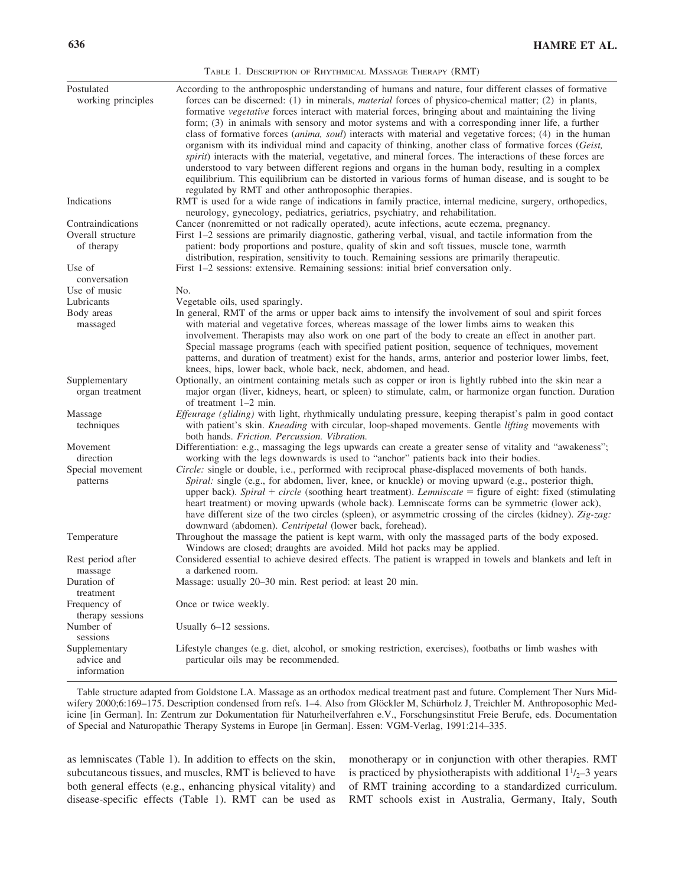|                                                                | TABLE 1. DESCRIPTION OF RHYTHMICAL MASSAGE THERAPY (RMT)                                                                                                                                                                                                                                                                                                                                                                                                                                                                                                                                                                                                                                                                                                                                                                                                                                                                                                                                                                                            |
|----------------------------------------------------------------|-----------------------------------------------------------------------------------------------------------------------------------------------------------------------------------------------------------------------------------------------------------------------------------------------------------------------------------------------------------------------------------------------------------------------------------------------------------------------------------------------------------------------------------------------------------------------------------------------------------------------------------------------------------------------------------------------------------------------------------------------------------------------------------------------------------------------------------------------------------------------------------------------------------------------------------------------------------------------------------------------------------------------------------------------------|
| Postulated<br>working principles                               | According to the anthroposphic understanding of humans and nature, four different classes of formative<br>forces can be discerned: (1) in minerals, <i>material</i> forces of physico-chemical matter; (2) in plants,<br>formative vegetative forces interact with material forces, bringing about and maintaining the living<br>form; (3) in animals with sensory and motor systems and with a corresponding inner life, a further<br>class of formative forces ( <i>anima, soul</i> ) interacts with material and vegetative forces; (4) in the human<br>organism with its individual mind and capacity of thinking, another class of formative forces (Geist,<br>spirit) interacts with the material, vegetative, and mineral forces. The interactions of these forces are<br>understood to vary between different regions and organs in the human body, resulting in a complex<br>equilibrium. This equilibrium can be distorted in various forms of human disease, and is sought to be<br>regulated by RMT and other anthroposophic therapies. |
| Indications                                                    | RMT is used for a wide range of indications in family practice, internal medicine, surgery, orthopedics,<br>neurology, gynecology, pediatrics, geriatrics, psychiatry, and rehabilitation.                                                                                                                                                                                                                                                                                                                                                                                                                                                                                                                                                                                                                                                                                                                                                                                                                                                          |
| Contraindications<br>Overall structure<br>of therapy<br>Use of | Cancer (nonremitted or not radically operated), acute infections, acute eczema, pregnancy.<br>First 1-2 sessions are primarily diagnostic, gathering verbal, visual, and tactile information from the<br>patient: body proportions and posture, quality of skin and soft tissues, muscle tone, warmth<br>distribution, respiration, sensitivity to touch. Remaining sessions are primarily therapeutic.<br>First 1-2 sessions: extensive. Remaining sessions: initial brief conversation only.                                                                                                                                                                                                                                                                                                                                                                                                                                                                                                                                                      |
| conversation                                                   |                                                                                                                                                                                                                                                                                                                                                                                                                                                                                                                                                                                                                                                                                                                                                                                                                                                                                                                                                                                                                                                     |
| Use of music                                                   | No.                                                                                                                                                                                                                                                                                                                                                                                                                                                                                                                                                                                                                                                                                                                                                                                                                                                                                                                                                                                                                                                 |
| Lubricants<br>Body areas                                       | Vegetable oils, used sparingly.<br>In general, RMT of the arms or upper back aims to intensify the involvement of soul and spirit forces                                                                                                                                                                                                                                                                                                                                                                                                                                                                                                                                                                                                                                                                                                                                                                                                                                                                                                            |
| massaged                                                       | with material and vegetative forces, whereas massage of the lower limbs aims to weaken this<br>involvement. Therapists may also work on one part of the body to create an effect in another part.<br>Special massage programs (each with specified patient position, sequence of techniques, movement<br>patterns, and duration of treatment) exist for the hands, arms, anterior and posterior lower limbs, feet,<br>knees, hips, lower back, whole back, neck, abdomen, and head.                                                                                                                                                                                                                                                                                                                                                                                                                                                                                                                                                                 |
| Supplementary<br>organ treatment                               | Optionally, an ointment containing metals such as copper or iron is lightly rubbed into the skin near a<br>major organ (liver, kidneys, heart, or spleen) to stimulate, calm, or harmonize organ function. Duration<br>of treatment 1–2 min.                                                                                                                                                                                                                                                                                                                                                                                                                                                                                                                                                                                                                                                                                                                                                                                                        |
| Massage<br>techniques                                          | Effeurage (gliding) with light, rhythmically undulating pressure, keeping therapist's palm in good contact<br>with patient's skin. Kneading with circular, loop-shaped movements. Gentle lifting movements with<br>both hands. Friction. Percussion. Vibration.                                                                                                                                                                                                                                                                                                                                                                                                                                                                                                                                                                                                                                                                                                                                                                                     |
| Movement<br>direction                                          | Differentiation: e.g., massaging the legs upwards can create a greater sense of vitality and "awakeness";<br>working with the legs downwards is used to "anchor" patients back into their bodies.                                                                                                                                                                                                                                                                                                                                                                                                                                                                                                                                                                                                                                                                                                                                                                                                                                                   |
| Special movement<br>patterns                                   | Circle: single or double, i.e., performed with reciprocal phase-displaced movements of both hands.<br>Spiral: single (e.g., for abdomen, liver, knee, or knuckle) or moving upward (e.g., posterior thigh,<br>upper back). Spiral + circle (soothing heart treatment). Lemniscate = figure of eight: fixed (stimulating<br>heart treatment) or moving upwards (whole back). Lemniscate forms can be symmetric (lower ack),<br>have different size of the two circles (spleen), or asymmetric crossing of the circles (kidney). Zig-zag:<br>downward (abdomen). Centripetal (lower back, forehead).                                                                                                                                                                                                                                                                                                                                                                                                                                                  |
| Temperature                                                    | Throughout the massage the patient is kept warm, with only the massaged parts of the body exposed.<br>Windows are closed; draughts are avoided. Mild hot packs may be applied.                                                                                                                                                                                                                                                                                                                                                                                                                                                                                                                                                                                                                                                                                                                                                                                                                                                                      |
| Rest period after<br>massage                                   | Considered essential to achieve desired effects. The patient is wrapped in towels and blankets and left in<br>a darkened room.                                                                                                                                                                                                                                                                                                                                                                                                                                                                                                                                                                                                                                                                                                                                                                                                                                                                                                                      |
| Duration of<br>treatment                                       | Massage: usually 20–30 min. Rest period: at least 20 min.                                                                                                                                                                                                                                                                                                                                                                                                                                                                                                                                                                                                                                                                                                                                                                                                                                                                                                                                                                                           |
| Frequency of<br>therapy sessions                               | Once or twice weekly.                                                                                                                                                                                                                                                                                                                                                                                                                                                                                                                                                                                                                                                                                                                                                                                                                                                                                                                                                                                                                               |
| Number of<br>sessions                                          | Usually 6-12 sessions.                                                                                                                                                                                                                                                                                                                                                                                                                                                                                                                                                                                                                                                                                                                                                                                                                                                                                                                                                                                                                              |
| Supplementary<br>advice and<br>information                     | Lifestyle changes (e.g. diet, alcohol, or smoking restriction, exercises), footbaths or limb washes with<br>particular oils may be recommended.                                                                                                                                                                                                                                                                                                                                                                                                                                                                                                                                                                                                                                                                                                                                                                                                                                                                                                     |

Table structure adapted from Goldstone LA. Massage as an orthodox medical treatment past and future. Complement Ther Nurs Midwifery 2000;6:169–175. Description condensed from refs. 1–4. Also from Glöckler M, Schürholz J, Treichler M. Anthroposophic Medicine [in German]. In: Zentrum zur Dokumentation für Naturheilverfahren e.V., Forschungsinstitut Freie Berufe, eds. Documentation of Special and Naturopathic Therapy Systems in Europe [in German]. Essen: VGM-Verlag, 1991:214–335.

as lemniscates (Table 1). In addition to effects on the skin, subcutaneous tissues, and muscles, RMT is believed to have both general effects (e.g., enhancing physical vitality) and disease-specific effects (Table 1). RMT can be used as monotherapy or in conjunction with other therapies. RMT is practiced by physiotherapists with additional  $1<sup>1</sup>/2-3$  years of RMT training according to a standardized curriculum. RMT schools exist in Australia, Germany, Italy, South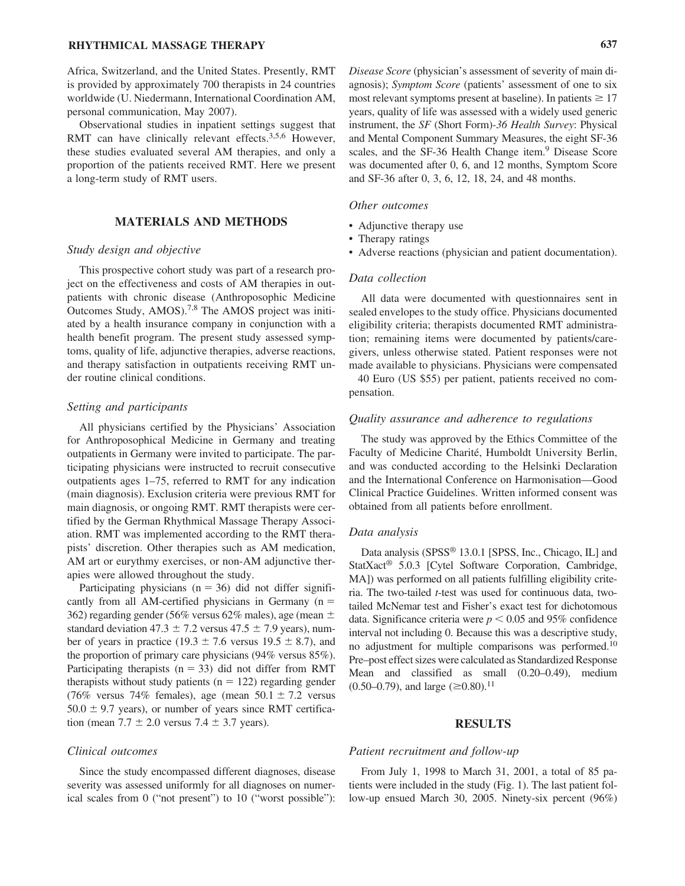# **RHYTHMICAL MASSAGE THERAPY 637**

Africa, Switzerland, and the United States. Presently, RMT is provided by approximately 700 therapists in 24 countries worldwide (U. Niedermann, International Coordination AM, personal communication, May 2007).

Observational studies in inpatient settings suggest that RMT can have clinically relevant effects.<sup>3,5,6</sup> However, these studies evaluated several AM therapies, and only a proportion of the patients received RMT. Here we present a long-term study of RMT users.

## **MATERIALS AND METHODS**

#### *Study design and objective*

This prospective cohort study was part of a research project on the effectiveness and costs of AM therapies in outpatients with chronic disease (Anthroposophic Medicine Outcomes Study, AMOS).7,8 The AMOS project was initiated by a health insurance company in conjunction with a health benefit program. The present study assessed symptoms, quality of life, adjunctive therapies, adverse reactions, and therapy satisfaction in outpatients receiving RMT under routine clinical conditions.

#### *Setting and participants*

All physicians certified by the Physicians' Association for Anthroposophical Medicine in Germany and treating outpatients in Germany were invited to participate. The participating physicians were instructed to recruit consecutive outpatients ages 1–75, referred to RMT for any indication (main diagnosis). Exclusion criteria were previous RMT for main diagnosis, or ongoing RMT. RMT therapists were certified by the German Rhythmical Massage Therapy Association. RMT was implemented according to the RMT therapists' discretion. Other therapies such as AM medication, AM art or eurythmy exercises, or non-AM adjunctive therapies were allowed throughout the study.

Participating physicians ( $n = 36$ ) did not differ significantly from all AM-certified physicians in Germany  $(n =$ 362) regarding gender (56% versus 62% males), age (mean  $\pm$ standard deviation  $47.3 \pm 7.2$  versus  $47.5 \pm 7.9$  years), number of years in practice  $(19.3 \pm 7.6 \text{ versus } 19.5 \pm 8.7)$ , and the proportion of primary care physicians (94% versus 85%). Participating therapists ( $n = 33$ ) did not differ from RMT therapists without study patients ( $n = 122$ ) regarding gender (76% versus 74% females), age (mean  $50.1 \pm 7.2$  versus  $50.0 \pm 9.7$  years), or number of years since RMT certification (mean  $7.7 \pm 2.0$  versus  $7.4 \pm 3.7$  years).

#### *Clinical outcomes*

Since the study encompassed different diagnoses, disease severity was assessed uniformly for all diagnoses on numerical scales from 0 ("not present") to 10 ("worst possible"):

*Disease Score* (physician's assessment of severity of main diagnosis); *Symptom Score* (patients' assessment of one to six most relevant symptoms present at baseline). In patients  $\geq 17$ years, quality of life was assessed with a widely used generic instrument, the *SF* (Short Form)*-36 Health Survey*: Physical and Mental Component Summary Measures, the eight SF-36 scales, and the SF-36 Health Change item.<sup>9</sup> Disease Score was documented after 0, 6, and 12 months, Symptom Score and SF-36 after 0, 3, 6, 12, 18, 24, and 48 months.

#### *Other outcomes*

- Adjunctive therapy use
- Therapy ratings
- Adverse reactions (physician and patient documentation).

#### *Data collection*

All data were documented with questionnaires sent in sealed envelopes to the study office. Physicians documented eligibility criteria; therapists documented RMT administration; remaining items were documented by patients/caregivers, unless otherwise stated. Patient responses were not made available to physicians. Physicians were compensated

40 Euro (US \$55) per patient, patients received no compensation.

## *Quality assurance and adherence to regulations*

The study was approved by the Ethics Committee of the Faculty of Medicine Charité, Humboldt University Berlin, and was conducted according to the Helsinki Declaration and the International Conference on Harmonisation—Good Clinical Practice Guidelines. Written informed consent was obtained from all patients before enrollment.

#### *Data analysis*

Data analysis (SPSS® 13.0.1 [SPSS, Inc., Chicago, IL] and StatXact® 5.0.3 [Cytel Software Corporation, Cambridge, MA]) was performed on all patients fulfilling eligibility criteria. The two-tailed *t*-test was used for continuous data, twotailed McNemar test and Fisher's exact test for dichotomous data. Significance criteria were  $p < 0.05$  and 95% confidence interval not including 0. Because this was a descriptive study, no adjustment for multiple comparisons was performed.<sup>10</sup> Pre–post effect sizes were calculated as Standardized Response Mean and classified as small (0.20–0.49), medium  $(0.50-0.79)$ , and large  $(\geq 0.80)$ .<sup>11</sup>

#### **RESULTS**

#### *Patient recruitment and follow-up*

From July 1, 1998 to March 31, 2001, a total of 85 patients were included in the study (Fig. 1). The last patient follow-up ensued March 30, 2005. Ninety-six percent (96%)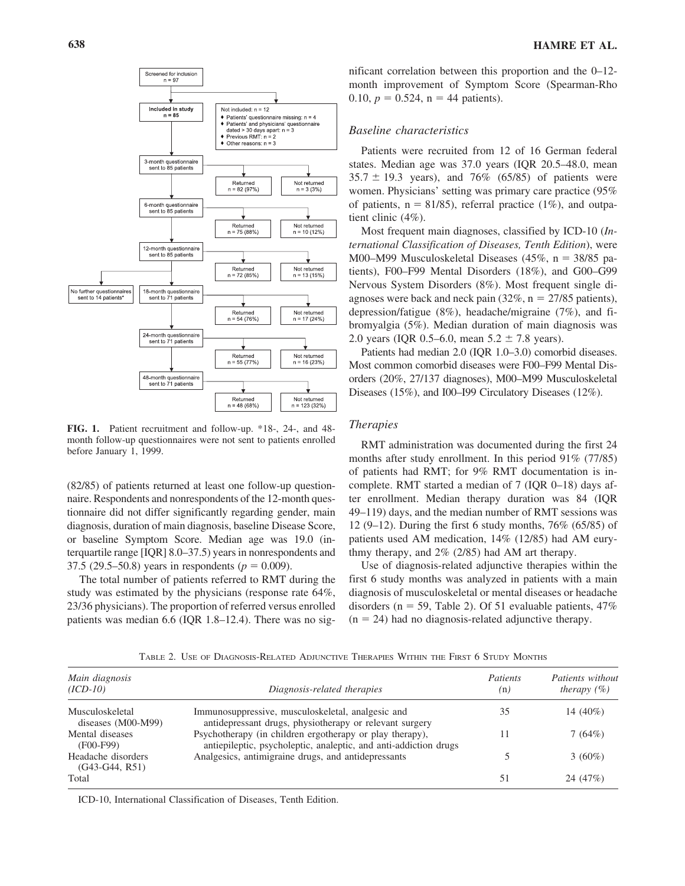

**FIG. 1.** Patient recruitment and follow-up. \*18-, 24-, and 48 month follow-up questionnaires were not sent to patients enrolled before January 1, 1999.

(82/85) of patients returned at least one follow-up questionnaire. Respondents and nonrespondents of the 12-month questionnaire did not differ significantly regarding gender, main diagnosis, duration of main diagnosis, baseline Disease Score, or baseline Symptom Score. Median age was 19.0 (interquartile range [IQR] 8.0–37.5) years in nonrespondents and 37.5 (29.5–50.8) years in respondents ( $p = 0.009$ ).

The total number of patients referred to RMT during the study was estimated by the physicians (response rate 64%, 23/36 physicians). The proportion of referred versus enrolled patients was median 6.6 (IQR 1.8–12.4). There was no sig-

nificant correlation between this proportion and the 0–12 month improvement of Symptom Score (Spearman-Rho 0.10,  $p = 0.524$ ,  $n = 44$  patients).

## *Baseline characteristics*

Patients were recruited from 12 of 16 German federal states. Median age was 37.0 years (IQR 20.5–48.0, mean  $35.7 \pm 19.3$  years), and 76% (65/85) of patients were women. Physicians' setting was primary care practice (95% of patients,  $n = 81/85$ , referral practice (1%), and outpatient clinic (4%).

Most frequent main diagnoses, classified by ICD-10 (*International Classification of Diseases, Tenth Edition*), were M00–M99 Musculoskeletal Diseases (45%,  $n = 38/85$  patients), F00–F99 Mental Disorders (18%), and G00–G99 Nervous System Disorders (8%). Most frequent single diagnoses were back and neck pain  $(32\%, n = 27/85)$  patients), depression/fatigue (8%), headache/migraine (7%), and fibromyalgia (5%). Median duration of main diagnosis was 2.0 years (IQR 0.5–6.0, mean  $5.2 \pm 7.8$  years).

Patients had median 2.0 (IQR 1.0–3.0) comorbid diseases. Most common comorbid diseases were F00–F99 Mental Disorders (20%, 27/137 diagnoses), M00–M99 Musculoskeletal Diseases (15%), and I00–I99 Circulatory Diseases (12%).

#### *Therapies*

RMT administration was documented during the first 24 months after study enrollment. In this period 91% (77/85) of patients had RMT; for 9% RMT documentation is incomplete. RMT started a median of 7 (IQR 0-18) days after enrollment. Median therapy duration was 84 (IQR 49–119) days, and the median number of RMT sessions was 12 (9–12). During the first 6 study months, 76% (65/85) of patients used AM medication, 14% (12/85) had AM eurythmy therapy, and 2% (2/85) had AM art therapy.

Use of diagnosis-related adjunctive therapies within the first 6 study months was analyzed in patients with a main diagnosis of musculoskeletal or mental diseases or headache disorders ( $n = 59$ , Table 2). Of 51 evaluable patients, 47%  $(n = 24)$  had no diagnosis-related adjunctive therapy.

TABLE 2. USE OF DIAGNOSIS-RELATED ADJUNCTIVE THERAPIES WITHIN THE FIRST 6 STUDY MONTHS

| Main diagnosis<br>$(ICD-10)$            | Diagnosis-related therapies                                                                                                  | Patients<br>(n) | Patients without<br>therapy $(\% )$ |
|-----------------------------------------|------------------------------------------------------------------------------------------------------------------------------|-----------------|-------------------------------------|
| Musculoskeletal<br>diseases $(M00-M99)$ | Immunosuppressive, musculoskeletal, analgesic and<br>antidepressant drugs, physiotherapy or relevant surgery                 | 35              | 14 $(40\%)$                         |
| Mental diseases<br>$(F00-F99)$          | Psychotherapy (in children ergotherapy or play therapy),<br>antiepileptic, psycholeptic, analeptic, and anti-addiction drugs |                 | 7(64%)                              |
| Headache disorders<br>$(G43-G44, R51)$  | Analgesics, antimigraine drugs, and antidepressants                                                                          |                 | $3(60\%)$                           |
| Total                                   |                                                                                                                              | 51              | 24 (47%)                            |

ICD-10, International Classification of Diseases, Tenth Edition.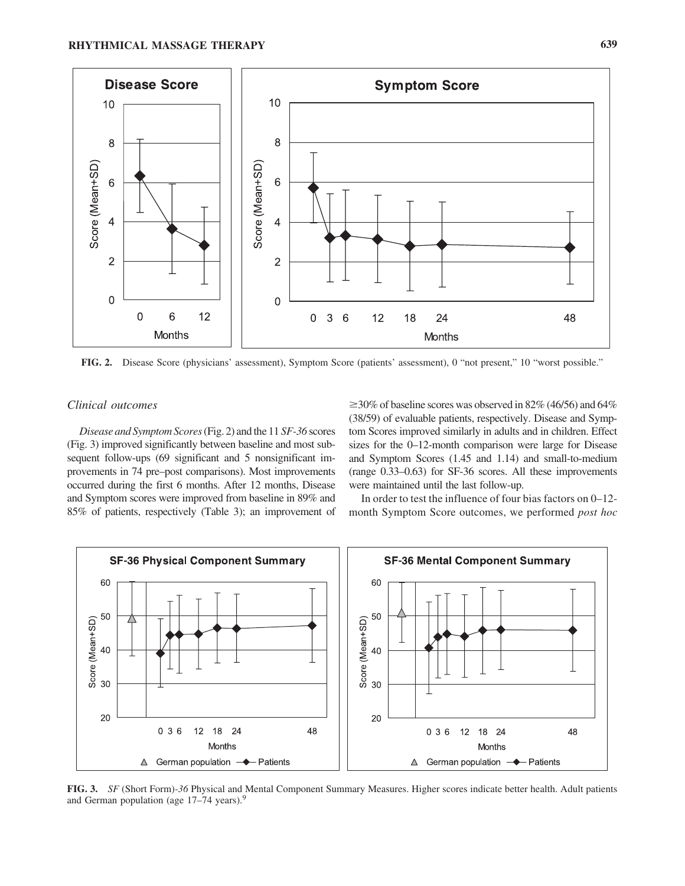

**FIG. 2.** Disease Score (physicians' assessment), Symptom Score (patients' assessment), 0 "not present," 10 "worst possible."

# *Clinical outcomes*

*Disease and Symptom Scores*(Fig. 2) and the 11 *SF-36* scores (Fig. 3) improved significantly between baseline and most subsequent follow-ups (69 significant and 5 nonsignificant improvements in 74 pre–post comparisons). Most improvements occurred during the first 6 months. After 12 months, Disease and Symptom scores were improved from baseline in 89% and 85% of patients, respectively (Table 3); an improvement of

 $\geq$ 30% of baseline scores was observed in 82% (46/56) and 64% (38/59) of evaluable patients, respectively. Disease and Symptom Scores improved similarly in adults and in children. Effect sizes for the 0–12-month comparison were large for Disease and Symptom Scores (1.45 and 1.14) and small-to-medium (range 0.33–0.63) for SF-36 scores. All these improvements were maintained until the last follow-up.

In order to test the influence of four bias factors on 0–12 month Symptom Score outcomes, we performed *post hoc*



**FIG. 3.** *SF* (Short Form)*-36* Physical and Mental Component Summary Measures. Higher scores indicate better health. Adult patients and German population (age 17–74 years).<sup>9</sup>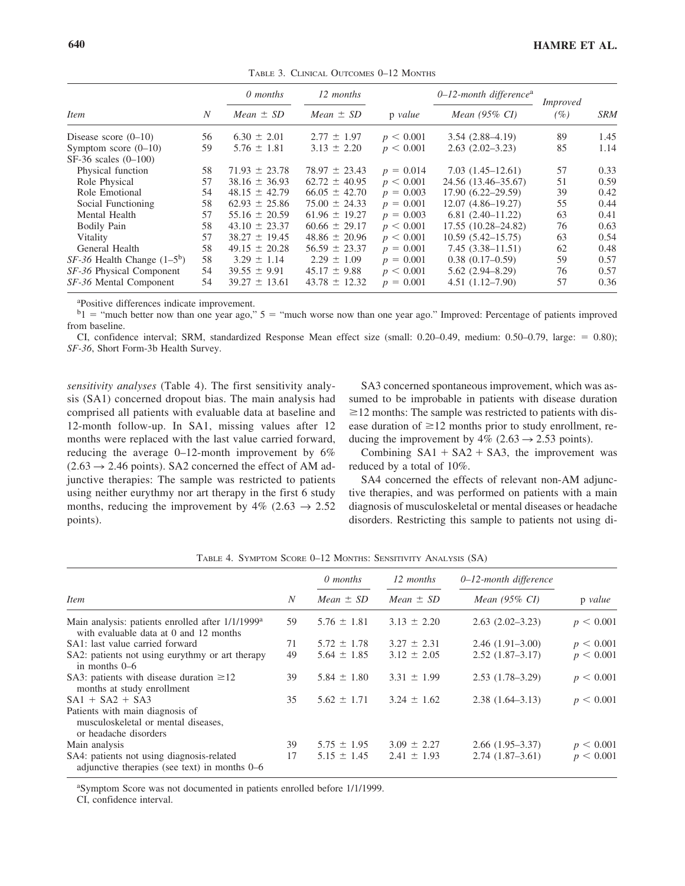|                                 |                | 0 months          | 12 months         |             | $0-12$ -month difference <sup>a</sup> | <i>Improved</i> |            |
|---------------------------------|----------------|-------------------|-------------------|-------------|---------------------------------------|-----------------|------------|
| <i>Item</i>                     | $\overline{N}$ | $Mean \pm SD$     | $Mean \pm SD$     | p value     | Mean $(95\% \text{ CI})$              | (%)             | <b>SRM</b> |
| Disease score $(0-10)$          | 56             | $6.30 \pm 2.01$   | $2.77 \pm 1.97$   | p < 0.001   | $3.54(2.88-4.19)$                     | 89              | 1.45       |
| Symptom score $(0-10)$          | 59             | $5.76 \pm 1.81$   | $3.13 \pm 2.20$   | p < 0.001   | $2.63(2.02-3.23)$                     | 85              | 1.14       |
| $SF-36$ scales $(0-100)$        |                |                   |                   |             |                                       |                 |            |
| Physical function               | 58             | $71.93 \pm 23.78$ | $78.97 \pm 23.43$ | $p = 0.014$ | $7.03(1.45-12.61)$                    | 57              | 0.33       |
| Role Physical                   | 57             | $38.16 \pm 36.93$ | $62.72 \pm 40.95$ | p < 0.001   | 24.56 (13.46–35.67)                   | 51              | 0.59       |
| Role Emotional                  | 54             | $48.15 \pm 42.79$ | $66.05 \pm 42.70$ | $p = 0.003$ | $17.90(6.22 - 29.59)$                 | 39              | 0.42       |
| Social Functioning              | 58             | $62.93 \pm 25.86$ | $75.00 \pm 24.33$ | $p = 0.001$ | $12.07(4.86 - 19.27)$                 | 55              | 0.44       |
| Mental Health                   | 57             | $55.16 \pm 20.59$ | $61.96 \pm 19.27$ | $p = 0.003$ | $6.81(2.40-11.22)$                    | 63              | 0.41       |
| Bodily Pain                     | 58             | $43.10 \pm 23.37$ | $60.66 \pm 29.17$ | p < 0.001   | 17.55 (10.28–24.82)                   | 76              | 0.63       |
| Vitality                        | 57             | $38.27 \pm 19.45$ | $48.86 \pm 20.96$ | p < 0.001   | $10.59(5.42 - 15.75)$                 | 63              | 0.54       |
| General Health                  | 58             | $49.15 \pm 20.28$ | $56.59 \pm 23.37$ | $p = 0.001$ | $7.45(3.38 - 11.51)$                  | 62              | 0.48       |
| $SF-36$ Health Change $(1-5^b)$ | 58             | $3.29 \pm 1.14$   | $2.29 \pm 1.09$   | $p = 0.001$ | $0.38(0.17-0.59)$                     | 59              | 0.57       |
| SF-36 Physical Component        | 54             | $39.55 \pm 9.91$  | $45.17 \pm 9.88$  | p < 0.001   | $5.62(2.94 - 8.29)$                   | 76              | 0.57       |
| SF-36 Mental Component          | 54             | $39.27 \pm 13.61$ | $43.78 \pm 12.32$ | $p = 0.001$ | $4.51(1.12 - 7.90)$                   | 57              | 0.36       |

TABLE 3. CLINICAL OUTCOMES 0–12 MONTHS

a Positive differences indicate improvement.

 $b_1$  = "much better now than one year ago,"  $5$  = "much worse now than one year ago." Improved: Percentage of patients improved from baseline.

CI, confidence interval; SRM, standardized Response Mean effect size (small: 0.20–0.49, medium: 0.50–0.79, large: 0.80); *SF-36*, Short Form-3b Health Survey.

*sensitivity analyses* (Table 4). The first sensitivity analysis (SA1) concerned dropout bias. The main analysis had comprised all patients with evaluable data at baseline and 12-month follow-up. In SA1, missing values after 12 months were replaced with the last value carried forward, reducing the average 0–12-month improvement by 6%  $(2.63 \rightarrow 2.46 \text{ points})$ . SA2 concerned the effect of AM adjunctive therapies: The sample was restricted to patients using neither eurythmy nor art therapy in the first 6 study months, reducing the improvement by  $4\%$  (2.63  $\rightarrow$  2.52 points).

SA3 concerned spontaneous improvement, which was assumed to be improbable in patients with disease duration  $\geq$  12 months: The sample was restricted to patients with disease duration of  $\geq 12$  months prior to study enrollment, reducing the improvement by  $4\%$  (2.63  $\rightarrow$  2.53 points).

Combining  $SA1 + SA2 + SA3$ , the improvement was reduced by a total of 10%.

SA4 concerned the effects of relevant non-AM adjunctive therapies, and was performed on patients with a main diagnosis of musculoskeletal or mental diseases or headache disorders. Restricting this sample to patients not using di-

|                                                                                                        |    | 0 months        | 12 months       | 0–12-month difference    | p value   |
|--------------------------------------------------------------------------------------------------------|----|-----------------|-----------------|--------------------------|-----------|
| <b>Item</b>                                                                                            | N  | Mean $\pm$ SD   | Mean $\pm$ SD   | Mean $(95\% \text{ CI})$ |           |
| Main analysis: patients enrolled after 1/1/1999 <sup>a</sup><br>with evaluable data at 0 and 12 months | 59 | $5.76 \pm 1.81$ | $3.13 \pm 2.20$ | $2.63(2.02-3.23)$        | p < 0.001 |
| SA1: last value carried forward                                                                        | 71 | $5.72 \pm 1.78$ | $3.27 \pm 2.31$ | $2.46(1.91-3.00)$        | p < 0.001 |
| SA2: patients not using eurythmy or art therapy<br>in months $0-6$                                     | 49 | $5.64 \pm 1.85$ | $3.12 \pm 2.05$ | $2.52(1.87-3.17)$        | p < 0.001 |
| SA3: patients with disease duration $\geq 12$<br>months at study enrollment                            | 39 | $5.84 \pm 1.80$ | $3.31 \pm 1.99$ | $2.53(1.78-3.29)$        | p < 0.001 |
| $SA1 + SA2 + SA3$                                                                                      | 35 | $5.62 \pm 1.71$ | $3.24 \pm 1.62$ | $2.38(1.64-3.13)$        | p < 0.001 |
| Patients with main diagnosis of<br>musculoskeletal or mental diseases,<br>or headache disorders        |    |                 |                 |                          |           |
| Main analysis                                                                                          | 39 | $5.75 \pm 1.95$ | $3.09 \pm 2.27$ | $2.66(1.95-3.37)$        | p < 0.001 |
| SA4: patients not using diagnosis-related<br>adjunctive therapies (see text) in months 0–6             | 17 | $5.15 \pm 1.45$ | $2.41 \pm 1.93$ | $2.74(1.87-3.61)$        | p < 0.001 |

TABLE 4. SYMPTOM SCORE 0–12 MONTHS: SENSITIVITY ANALYSIS (SA)

a Symptom Score was not documented in patients enrolled before 1/1/1999.

CI, confidence interval.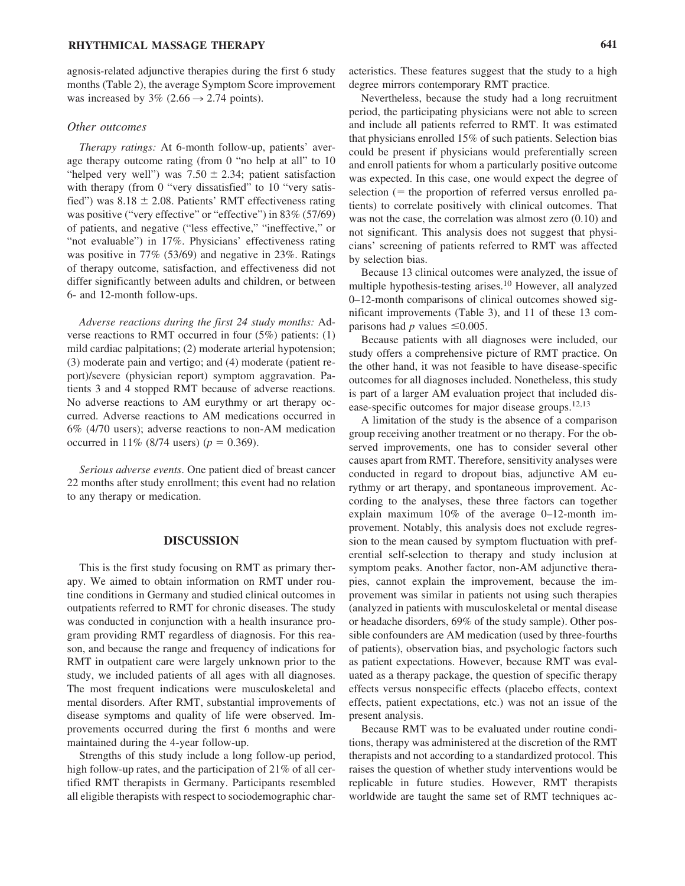## **RHYTHMICAL MASSAGE THERAPY 641**

agnosis-related adjunctive therapies during the first 6 study months (Table 2), the average Symptom Score improvement was increased by  $3\%$  (2.66  $\rightarrow$  2.74 points).

#### *Other outcomes*

*Therapy ratings:* At 6-month follow-up, patients' average therapy outcome rating (from 0 "no help at all" to 10 "helped very well") was  $7.50 \pm 2.34$ ; patient satisfaction with therapy (from 0 "very dissatisfied" to 10 "very satisfied") was  $8.18 \pm 2.08$ . Patients' RMT effectiveness rating was positive ("very effective" or "effective") in 83% (57/69) of patients, and negative ("less effective," "ineffective," or "not evaluable") in 17%. Physicians' effectiveness rating was positive in 77% (53/69) and negative in 23%. Ratings of therapy outcome, satisfaction, and effectiveness did not differ significantly between adults and children, or between 6- and 12-month follow-ups.

*Adverse reactions during the first 24 study months:* Adverse reactions to RMT occurred in four (5%) patients: (1) mild cardiac palpitations; (2) moderate arterial hypotension; (3) moderate pain and vertigo; and (4) moderate (patient report)/severe (physician report) symptom aggravation. Patients 3 and 4 stopped RMT because of adverse reactions. No adverse reactions to AM eurythmy or art therapy occurred. Adverse reactions to AM medications occurred in 6% (4/70 users); adverse reactions to non-AM medication occurred in 11% (8/74 users) ( $p = 0.369$ ).

*Serious adverse events*. One patient died of breast cancer 22 months after study enrollment; this event had no relation to any therapy or medication.

## **DISCUSSION**

This is the first study focusing on RMT as primary therapy. We aimed to obtain information on RMT under routine conditions in Germany and studied clinical outcomes in outpatients referred to RMT for chronic diseases. The study was conducted in conjunction with a health insurance program providing RMT regardless of diagnosis. For this reason, and because the range and frequency of indications for RMT in outpatient care were largely unknown prior to the study, we included patients of all ages with all diagnoses. The most frequent indications were musculoskeletal and mental disorders. After RMT, substantial improvements of disease symptoms and quality of life were observed. Improvements occurred during the first 6 months and were maintained during the 4-year follow-up.

Strengths of this study include a long follow-up period, high follow-up rates, and the participation of 21% of all certified RMT therapists in Germany. Participants resembled all eligible therapists with respect to sociodemographic characteristics. These features suggest that the study to a high degree mirrors contemporary RMT practice.

Nevertheless, because the study had a long recruitment period, the participating physicians were not able to screen and include all patients referred to RMT. It was estimated that physicians enrolled 15% of such patients. Selection bias could be present if physicians would preferentially screen and enroll patients for whom a particularly positive outcome was expected. In this case, one would expect the degree of selection  $($  = the proportion of referred versus enrolled patients) to correlate positively with clinical outcomes. That was not the case, the correlation was almost zero (0.10) and not significant. This analysis does not suggest that physicians' screening of patients referred to RMT was affected by selection bias.

Because 13 clinical outcomes were analyzed, the issue of multiple hypothesis-testing arises.<sup>10</sup> However, all analyzed 0–12-month comparisons of clinical outcomes showed significant improvements (Table 3), and 11 of these 13 comparisons had *p* values  $\leq 0.005$ .

Because patients with all diagnoses were included, our study offers a comprehensive picture of RMT practice. On the other hand, it was not feasible to have disease-specific outcomes for all diagnoses included. Nonetheless, this study is part of a larger AM evaluation project that included disease-specific outcomes for major disease groups.<sup>12,13</sup>

A limitation of the study is the absence of a comparison group receiving another treatment or no therapy. For the observed improvements, one has to consider several other causes apart from RMT. Therefore, sensitivity analyses were conducted in regard to dropout bias, adjunctive AM eurythmy or art therapy, and spontaneous improvement. According to the analyses, these three factors can together explain maximum 10% of the average 0–12-month improvement. Notably, this analysis does not exclude regression to the mean caused by symptom fluctuation with preferential self-selection to therapy and study inclusion at symptom peaks. Another factor, non-AM adjunctive therapies, cannot explain the improvement, because the improvement was similar in patients not using such therapies (analyzed in patients with musculoskeletal or mental disease or headache disorders, 69% of the study sample). Other possible confounders are AM medication (used by three-fourths of patients), observation bias, and psychologic factors such as patient expectations. However, because RMT was evaluated as a therapy package, the question of specific therapy effects versus nonspecific effects (placebo effects, context effects, patient expectations, etc.) was not an issue of the present analysis.

Because RMT was to be evaluated under routine conditions, therapy was administered at the discretion of the RMT therapists and not according to a standardized protocol. This raises the question of whether study interventions would be replicable in future studies. However, RMT therapists worldwide are taught the same set of RMT techniques ac